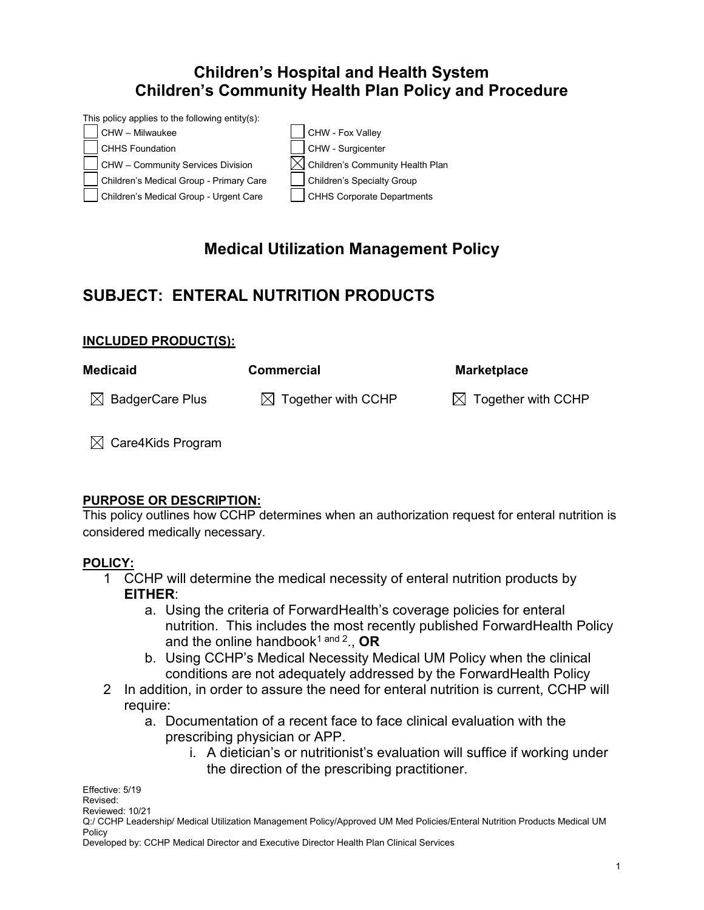## **Children's Hospital and Health System Children's Community Health Plan Policy and Procedure**



# **Medical Utilization Management Policy**

## **SUBJECT: ENTERAL NUTRITION PRODUCTS**

### **INCLUDED PRODUCT(S):**

| <b>Medicaid</b>             | <b>Commercial</b>              | <b>Marketplace</b>             |
|-----------------------------|--------------------------------|--------------------------------|
| $\boxtimes$ BadgerCare Plus | $\boxtimes$ Together with CCHP | $\boxtimes$ Together with CCHP |

 $\boxtimes$  Care4Kids Program

### **PURPOSE OR DESCRIPTION:**

This policy outlines how CCHP determines when an authorization request for enteral nutrition is considered medically necessary.

### **POLICY:**

- 1 CCHP will determine the medical necessity of enteral nutrition products by **EITHER**:
	- a. Using the criteria of ForwardHealth's coverage policies for enteral nutrition. This includes the most recently published ForwardHealth Policy and the online handbook<sup>1 and 2</sup>., **OR**
	- b. Using CCHP's Medical Necessity Medical UM Policy when the clinical conditions are not adequately addressed by the ForwardHealth Policy
- 2 In addition, in order to assure the need for enteral nutrition is current, CCHP will require:
	- a. Documentation of a recent face to face clinical evaluation with the prescribing physician or APP.
		- i. A dietician's or nutritionist's evaluation will suffice if working under the direction of the prescribing practitioner.

Effective: 5/19 Revised: Reviewed: 10/21 Q:/ CCHP Leadership/ Medical Utilization Management Policy/Approved UM Med Policies/Enteral Nutrition Products Medical UM Policy

Developed by: CCHP Medical Director and Executive Director Health Plan Clinical Services